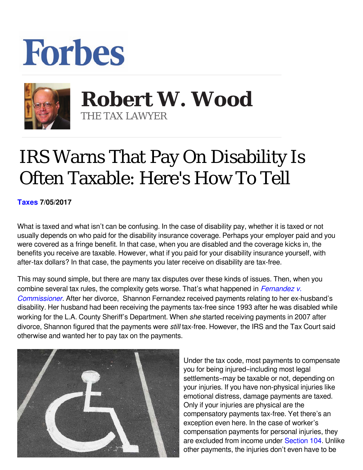## **Forbes**



 **Robert W. Wood** THE TAX LAWYER

## IRS Warns That Pay On Disability Is Often Taxable: Here's How To Tell

**[Taxes](https://www.forbes.com/taxes) 7/05/2017** 

What is taxed and what isn't can be confusing. In the case of disability pay, whether it is taxed or not usually depends on who paid for the disability insurance coverage. Perhaps your employer paid and you were covered as a fringe benefit. In that case, when you are disabled and the coverage kicks in, the benefits you receive are taxable. However, what if you paid for your disability insurance yourself, with after-tax dollars? In that case, the payments you later receive on disability are tax-free.

This may sound simple, but there are many tax disputes over these kinds of issues. Then, when you combine several tax rules, the complexity gets worse. That's what happened in *[Fernandez v.](http://www.ustaxcourt.gov/InOpHistoric/FERNANDEZ2.TC.WPD.pdf) [Commissioner.](http://www.ustaxcourt.gov/InOpHistoric/FERNANDEZ2.TC.WPD.pdf)* After her divorce, Shannon Fernandez received payments relating to her ex-husband's disability. Her husband had been receiving the payments tax-free since 1993 after he was disabled while working for the L.A. County Sheriff's Department. When she started receiving payments in 2007 after divorce, Shannon figured that the payments were *still* tax-free. However, the IRS and the Tax Court said otherwise and wanted her to pay tax on the payments.



Under the tax code, most payments to compensate you for being injured–including most legal settlements–may be taxable or not, depending on your injuries. If you have non-physical injuries like emotional distress, damage payments are taxed. Only if your injuries are physical are the compensatory payments tax-free. Yet there's an exception even here. In the case of worker's compensation payments for personal injuries, they are excluded from income under [Section 104.](http://www.law.cornell.edu/uscode/text/26/104) Unlike other payments, the injuries don't even have to be